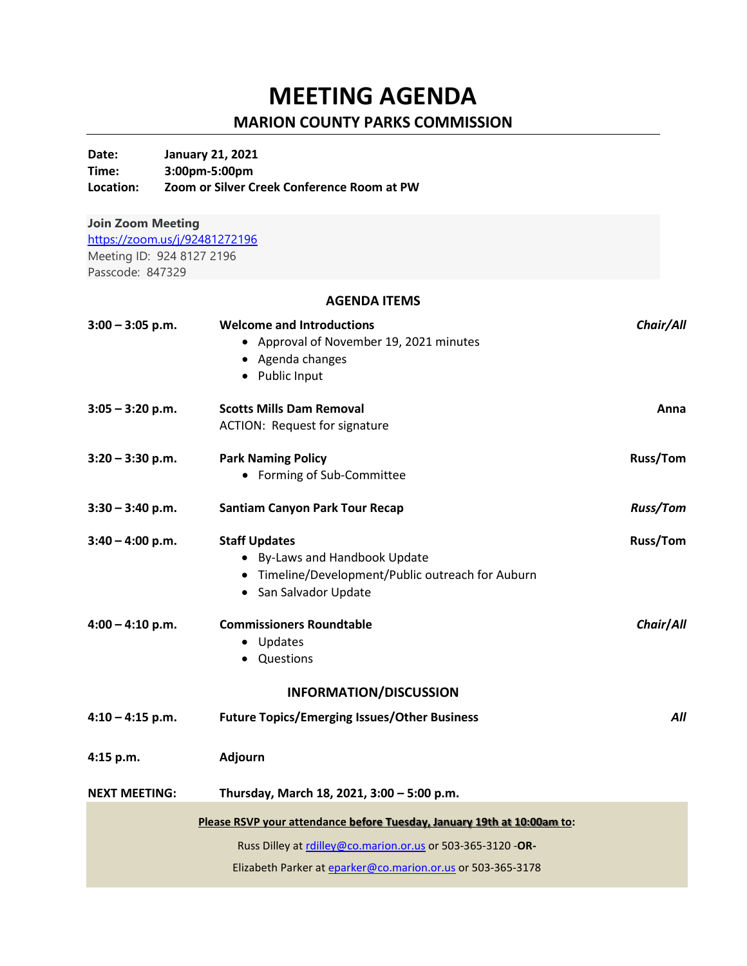## **MEETING AGENDA**

## **MARION COUNTY PARKS COMMISSION**

**Date: January 21, 2021**

| Time:<br>Location:       | 3:00pm-5:00pm<br>Zoom or Silver Creek Conference Room at PW             |                 |  |
|--------------------------|-------------------------------------------------------------------------|-----------------|--|
| <b>Join Zoom Meeting</b> |                                                                         |                 |  |
|                          | https://zoom.us/j/92481272196                                           |                 |  |
|                          | Meeting ID: 924 8127 2196                                               |                 |  |
| Passcode: 847329         |                                                                         |                 |  |
|                          | <b>AGENDA ITEMS</b>                                                     |                 |  |
| $3:00 - 3:05$ p.m.       | <b>Welcome and Introductions</b>                                        | Chair/All       |  |
|                          | • Approval of November 19, 2021 minutes                                 |                 |  |
|                          | • Agenda changes                                                        |                 |  |
|                          | • Public Input                                                          |                 |  |
| $3:05 - 3:20$ p.m.       | <b>Scotts Mills Dam Removal</b>                                         | Anna            |  |
|                          | <b>ACTION: Request for signature</b>                                    |                 |  |
|                          |                                                                         |                 |  |
| $3:20 - 3:30$ p.m.       | <b>Park Naming Policy</b>                                               | <b>Russ/Tom</b> |  |
|                          | • Forming of Sub-Committee                                              |                 |  |
| $3:30 - 3:40$ p.m.       | <b>Santiam Canyon Park Tour Recap</b>                                   | <b>Russ/Tom</b> |  |
| $3:40 - 4:00$ p.m.       | <b>Staff Updates</b>                                                    | <b>Russ/Tom</b> |  |
|                          | • By-Laws and Handbook Update                                           |                 |  |
|                          | • Timeline/Development/Public outreach for Auburn                       |                 |  |
|                          | • San Salvador Update                                                   |                 |  |
| $4:00 - 4:10$ p.m.       | <b>Commissioners Roundtable</b>                                         | Chair/All       |  |
|                          | • Updates                                                               |                 |  |
|                          | • Questions                                                             |                 |  |
|                          | <b>INFORMATION/DISCUSSION</b>                                           |                 |  |
| $4:10 - 4:15$ p.m.       | <b>Future Topics/Emerging Issues/Other Business</b>                     | All             |  |
| 4:15 p.m.                | <b>Adjourn</b>                                                          |                 |  |
| <b>NEXT MEETING:</b>     | Thursday, March 18, 2021, 3:00 - 5:00 p.m.                              |                 |  |
|                          | Please RSVP your attendance before Tuesday, January 19th at 10:00am to: |                 |  |
|                          | Russ Dilley at rdilley@co.marion.or.us or 503-365-3120 -OR-             |                 |  |
|                          | Elizabeth Parker at eparker@co.marion.or.us or 503-365-3178             |                 |  |